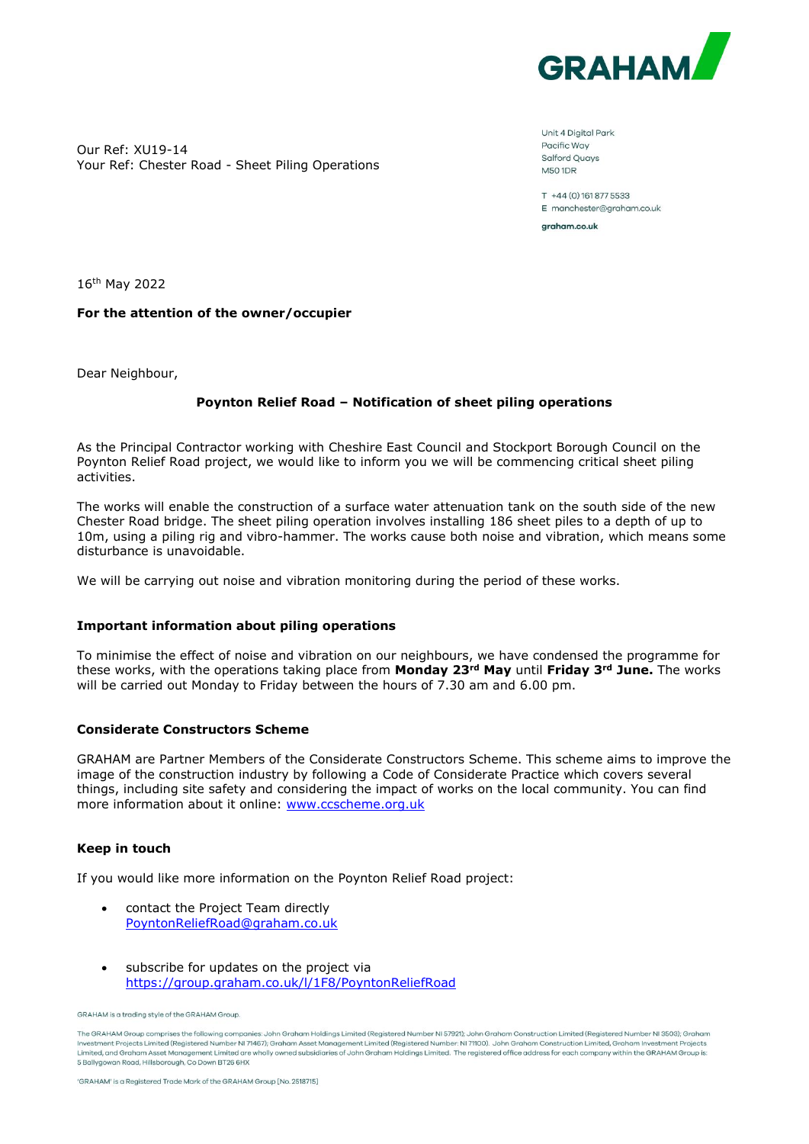

Our Ref: XU19-14 Your Ref: Chester Road - Sheet Piling Operations Unit 4 Digital Park Pacific Way Salford Ouavs **M501DR** 

T +44 (0) 161 877 5533 E manchester@graham.co.uk

graham.co.uk

16th May 2022

## **For the attention of the owner/occupier**

Dear Neighbour,

## **Poynton Relief Road – Notification of sheet piling operations**

As the Principal Contractor working with Cheshire East Council and Stockport Borough Council on the Poynton Relief Road project, we would like to inform you we will be commencing critical sheet piling activities.

The works will enable the construction of a surface water attenuation tank on the south side of the new Chester Road bridge. The sheet piling operation involves installing 186 sheet piles to a depth of up to 10m, using a piling rig and vibro-hammer. The works cause both noise and vibration, which means some disturbance is unavoidable.

We will be carrying out noise and vibration monitoring during the period of these works.

### **Important information about piling operations**

To minimise the effect of noise and vibration on our neighbours, we have condensed the programme for these works, with the operations taking place from **Monday 23rd May** until **Friday 3rd June.** The works will be carried out Monday to Friday between the hours of 7.30 am and 6.00 pm.

# **Considerate Constructors Scheme**

GRAHAM are Partner Members of the Considerate Constructors Scheme. This scheme aims to improve the image of the construction industry by following a Code of Considerate Practice which covers several things, including site safety and considering the impact of works on the local community. You can find more information about it online: [www.ccscheme.org.uk](http://www.ccscheme.org.uk/) 

#### **Keep in touch**

If you would like more information on the Poynton Relief Road project:

- contact the Project Team directly [PoyntonReliefRoad@graham.co.uk](mailto:PoyntonReliefRoad@graham.co.uk)
- subscribe for updates on the project via <https://group.graham.co.uk/l/1F8/PoyntonReliefRoad>

The GRAHAM Group comprises the following companies: John Graham Holdings Limited (Registered Number NI 57921); John Graham Construction Limited (Registered Number NI 3503); Graham Investment Projects Limited (Registered Number NI 71467): Graham Asset Management Limited (Registered Number: NI 71100). John Graham Construction Limited. Graham Investment Projects Limited, and Graham Asset Manage ment Limited are wholly owned subsidiaries of John Graham Holdings Limited. The registered office address for each company within the GRAHAM Group is 5 Ballygowan Road, Hillsborough, Co Down BT26 6HX

GRAHAM is a trading style of the GRAHAM Group.